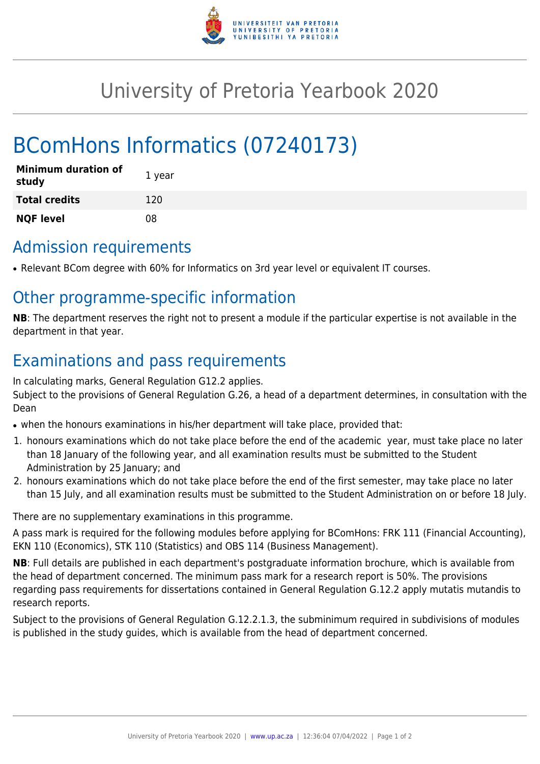

## University of Pretoria Yearbook 2020

# BComHons Informatics (07240173)

| <b>Minimum duration of</b><br>study | 1 year |
|-------------------------------------|--------|
| <b>Total credits</b>                | 120    |
| <b>NQF level</b>                    | 08     |

### Admission requirements

• Relevant BCom degree with 60% for Informatics on 3rd year level or equivalent IT courses.

### Other programme-specific information

**NB**: The department reserves the right not to present a module if the particular expertise is not available in the department in that year.

### Examinations and pass requirements

In calculating marks, General Regulation G12.2 applies.

Subject to the provisions of General Regulation G.26, a head of a department determines, in consultation with the Dean

- when the honours examinations in his/her department will take place, provided that:
- 1. honours examinations which do not take place before the end of the academic year, must take place no later than 18 January of the following year, and all examination results must be submitted to the Student Administration by 25 January; and
- 2. honours examinations which do not take place before the end of the first semester, may take place no later than 15 July, and all examination results must be submitted to the Student Administration on or before 18 July.

There are no supplementary examinations in this programme.

A pass mark is required for the following modules before applying for BComHons: FRK 111 (Financial Accounting), EKN 110 (Economics), STK 110 (Statistics) and OBS 114 (Business Management).

**NB**: Full details are published in each department's postgraduate information brochure, which is available from the head of department concerned. The minimum pass mark for a research report is 50%. The provisions regarding pass requirements for dissertations contained in General Regulation G.12.2 apply mutatis mutandis to research reports.

Subject to the provisions of General Regulation G.12.2.1.3, the subminimum required in subdivisions of modules is published in the study guides, which is available from the head of department concerned.